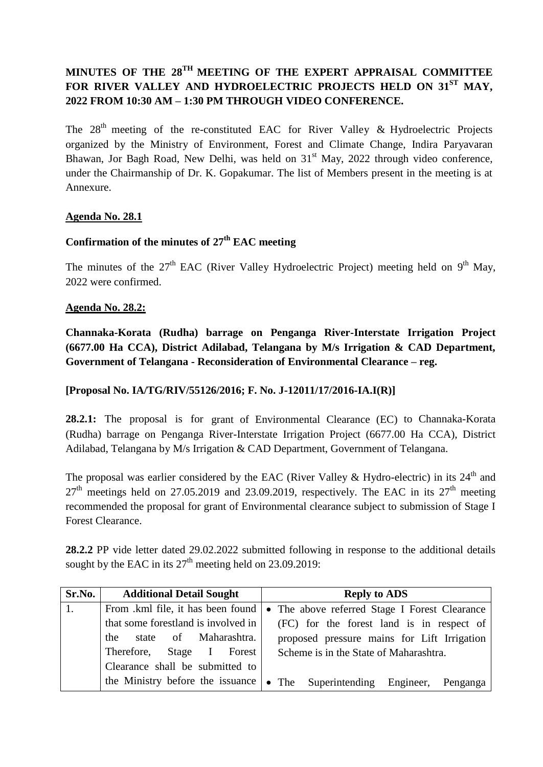# **MINUTES OF THE 28 TH MEETING OF THE EXPERT APPRAISAL COMMITTEE FOR RIVER VALLEY AND HYDROELECTRIC PROJECTS HELD ON 31ST MAY, 2022 FROM 10:30 AM – 1:30 PM THROUGH VIDEO CONFERENCE.**

The  $28<sup>th</sup>$  meeting of the re-constituted EAC for River Valley & Hydroelectric Projects organized by the Ministry of Environment, Forest and Climate Change, Indira Paryavaran Bhawan, Jor Bagh Road, New Delhi, was held on  $31<sup>st</sup>$  May, 2022 through video conference, under the Chairmanship of Dr. K. Gopakumar. The list of Members present in the meeting is at Annexure.

#### **Agenda No. 28.1**

# **Confirmation of the minutes of 27th EAC meeting**

The minutes of the  $27<sup>th</sup>$  EAC (River Valley Hydroelectric Project) meeting held on  $9<sup>th</sup>$  May, 2022 were confirmed.

#### **Agenda No. 28.2:**

**Channaka-Korata (Rudha) barrage on Penganga River-Interstate Irrigation Project (6677.00 Ha CCA), District Adilabad, Telangana by M/s Irrigation & CAD Department, Government of Telangana - Reconsideration of Environmental Clearance – reg.**

#### **[Proposal No. IA/TG/RIV/55126/2016; F. No. J-12011/17/2016-IA.I(R)]**

**28.2.1:** The proposal is for grant of Environmental Clearance (EC) to Channaka-Korata (Rudha) barrage on Penganga River-Interstate Irrigation Project (6677.00 Ha CCA), District Adilabad, Telangana by M/s Irrigation & CAD Department, Government of Telangana.

The proposal was earlier considered by the EAC (River Valley & Hydro-electric) in its  $24<sup>th</sup>$  and  $27<sup>th</sup>$  meetings held on 27.05.2019 and 23.09.2019, respectively. The EAC in its  $27<sup>th</sup>$  meeting recommended the proposal for grant of Environmental clearance subject to submission of Stage I Forest Clearance.

**28.2.2** PP vide letter dated 29.02.2022 submitted following in response to the additional details sought by the EAC in its  $27<sup>th</sup>$  meeting held on 23.09.2019:

| Sr.No. | <b>Additional Detail Sought</b>     | <b>Reply to ADS</b>                                                              |  |
|--------|-------------------------------------|----------------------------------------------------------------------------------|--|
| 1.     | From .kml file, it has been found   | • The above referred Stage I Forest Clearance                                    |  |
|        | that some forestland is involved in | (FC) for the forest land is in respect of                                        |  |
|        | the state of Maharashtra.           | proposed pressure mains for Lift Irrigation                                      |  |
|        | Therefore, Stage I Forest           | Scheme is in the State of Maharashtra.                                           |  |
|        | Clearance shall be submitted to     |                                                                                  |  |
|        |                                     | the Ministry before the issuance $\bullet$ The Superintending Engineer, Penganga |  |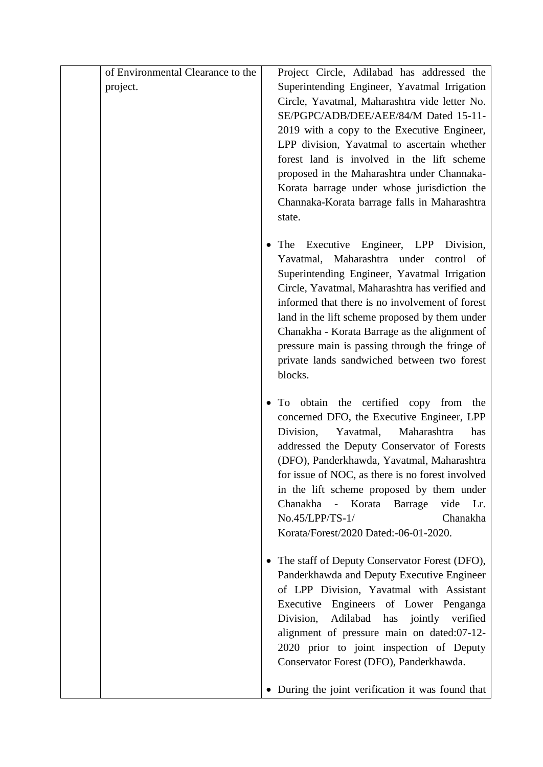|          | of Environmental Clearance to the | Project Circle, Adilabad has addressed the                                                 |
|----------|-----------------------------------|--------------------------------------------------------------------------------------------|
| project. |                                   | Superintending Engineer, Yavatmal Irrigation                                               |
|          |                                   | Circle, Yavatmal, Maharashtra vide letter No.                                              |
|          |                                   | SE/PGPC/ADB/DEE/AEE/84/M Dated 15-11-                                                      |
|          |                                   | 2019 with a copy to the Executive Engineer,                                                |
|          |                                   | LPP division, Yavatmal to ascertain whether                                                |
|          |                                   | forest land is involved in the lift scheme                                                 |
|          |                                   | proposed in the Maharashtra under Channaka-                                                |
|          |                                   | Korata barrage under whose jurisdiction the                                                |
|          |                                   | Channaka-Korata barrage falls in Maharashtra                                               |
|          |                                   | state.                                                                                     |
|          |                                   |                                                                                            |
|          |                                   | Executive Engineer, LPP Division,<br>The<br>Yavatmal, Maharashtra under control of         |
|          |                                   | Superintending Engineer, Yavatmal Irrigation                                               |
|          |                                   | Circle, Yavatmal, Maharashtra has verified and                                             |
|          |                                   | informed that there is no involvement of forest                                            |
|          |                                   | land in the lift scheme proposed by them under                                             |
|          |                                   | Chanakha - Korata Barrage as the alignment of                                              |
|          |                                   | pressure main is passing through the fringe of                                             |
|          |                                   | private lands sandwiched between two forest                                                |
|          |                                   | blocks.                                                                                    |
|          |                                   |                                                                                            |
|          |                                   | To obtain the certified copy from<br>the                                                   |
|          |                                   | concerned DFO, the Executive Engineer, LPP<br>Division,<br>Yavatmal,<br>Maharashtra<br>has |
|          |                                   | addressed the Deputy Conservator of Forests                                                |
|          |                                   | (DFO), Panderkhawda, Yavatmal, Maharashtra                                                 |
|          |                                   | for issue of NOC, as there is no forest involved                                           |
|          |                                   | in the lift scheme proposed by them under                                                  |
|          |                                   | - Korata<br>Barrage<br>Chanakha<br>vide<br>Lr.                                             |
|          |                                   | No.45/LPP/TS-1/<br>Chanakha                                                                |
|          |                                   | Korata/Forest/2020 Dated:-06-01-2020.                                                      |
|          |                                   |                                                                                            |
|          |                                   | The staff of Deputy Conservator Forest (DFO),                                              |
|          |                                   | Panderkhawda and Deputy Executive Engineer                                                 |
|          |                                   | of LPP Division, Yavatmal with Assistant                                                   |
|          |                                   | Executive Engineers of Lower Penganga<br>Adilabad<br>Division,<br>verified                 |
|          |                                   | has<br>jointly<br>alignment of pressure main on dated:07-12-                               |
|          |                                   | 2020 prior to joint inspection of Deputy                                                   |
|          |                                   | Conservator Forest (DFO), Panderkhawda.                                                    |
|          |                                   |                                                                                            |
|          |                                   | • During the joint verification it was found that                                          |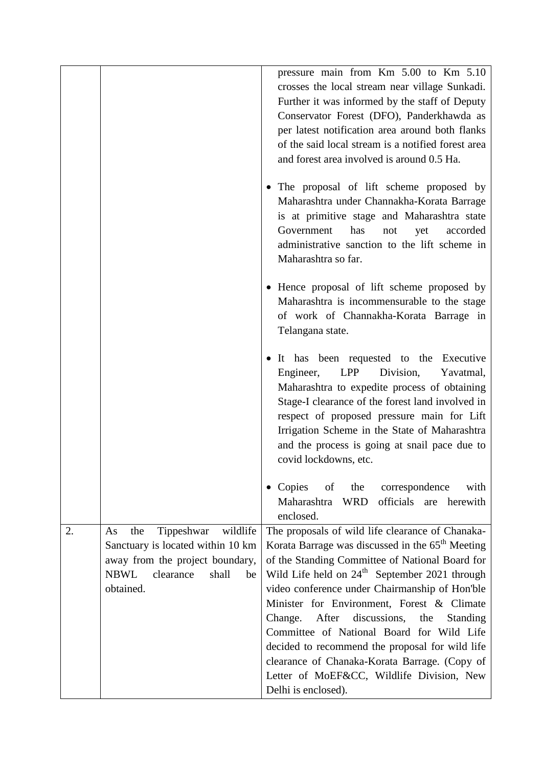|    |                                                                                                                                                                  | pressure main from Km 5.00 to Km 5.10<br>crosses the local stream near village Sunkadi.<br>Further it was informed by the staff of Deputy                                                                                                                                                                                                                                                                                                                                                                                                                                                    |
|----|------------------------------------------------------------------------------------------------------------------------------------------------------------------|----------------------------------------------------------------------------------------------------------------------------------------------------------------------------------------------------------------------------------------------------------------------------------------------------------------------------------------------------------------------------------------------------------------------------------------------------------------------------------------------------------------------------------------------------------------------------------------------|
|    |                                                                                                                                                                  | Conservator Forest (DFO), Panderkhawda as<br>per latest notification area around both flanks<br>of the said local stream is a notified forest area<br>and forest area involved is around 0.5 Ha.                                                                                                                                                                                                                                                                                                                                                                                             |
|    |                                                                                                                                                                  | • The proposal of lift scheme proposed by<br>Maharashtra under Channakha-Korata Barrage<br>is at primitive stage and Maharashtra state<br>Government<br>has<br>accorded<br>not<br>yet<br>administrative sanction to the lift scheme in<br>Maharashtra so far.                                                                                                                                                                                                                                                                                                                                |
|    |                                                                                                                                                                  | • Hence proposal of lift scheme proposed by<br>Maharashtra is incommensurable to the stage<br>of work of Channakha-Korata Barrage in<br>Telangana state.                                                                                                                                                                                                                                                                                                                                                                                                                                     |
|    |                                                                                                                                                                  | It has been requested to the Executive<br>Engineer,<br>LPP<br>Division,<br>Yavatmal,<br>Maharashtra to expedite process of obtaining<br>Stage-I clearance of the forest land involved in<br>respect of proposed pressure main for Lift<br>Irrigation Scheme in the State of Maharashtra<br>and the process is going at snail pace due to<br>covid lockdowns, etc.                                                                                                                                                                                                                            |
|    |                                                                                                                                                                  | • Copies of the correspondence<br>with<br>Maharashtra WRD<br>officials are herewith<br>enclosed.                                                                                                                                                                                                                                                                                                                                                                                                                                                                                             |
| 2. | Tippeshwar wildlife<br>the<br>As<br>Sanctuary is located within 10 km<br>away from the project boundary,<br><b>NBWL</b><br>clearance<br>shall<br>be<br>obtained. | The proposals of wild life clearance of Chanaka-<br>Korata Barrage was discussed in the 65 <sup>th</sup> Meeting<br>of the Standing Committee of National Board for<br>Wild Life held on $24th$ September 2021 through<br>video conference under Chairmanship of Hon'ble<br>Minister for Environment, Forest & Climate<br>Change.<br>After discussions, the<br>Standing<br>Committee of National Board for Wild Life<br>decided to recommend the proposal for wild life<br>clearance of Chanaka-Korata Barrage. (Copy of<br>Letter of MoEF&CC, Wildlife Division, New<br>Delhi is enclosed). |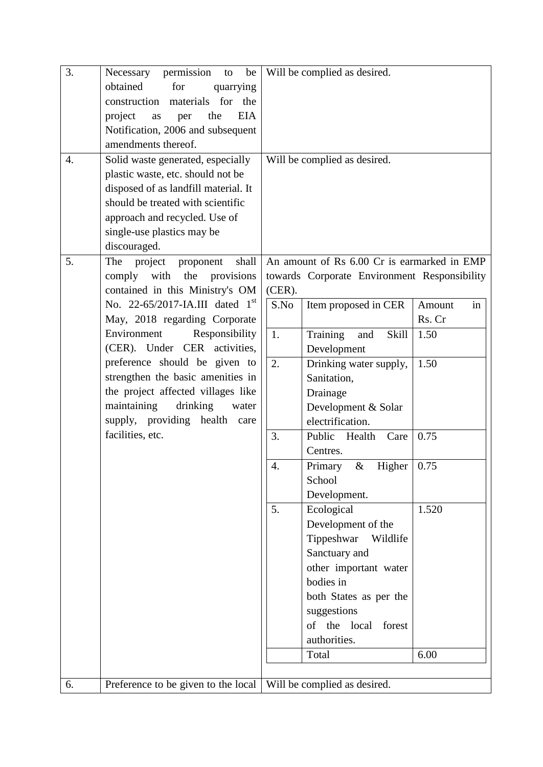| 3. | permission<br>Necessary<br>be<br>to       |           | Will be complied as desired.                 |              |
|----|-------------------------------------------|-----------|----------------------------------------------|--------------|
|    | obtained<br>for<br>quarrying              |           |                                              |              |
|    | materials for the<br>construction         |           |                                              |              |
|    | <b>EIA</b><br>project<br>as<br>the<br>per |           |                                              |              |
|    | Notification, 2006 and subsequent         |           |                                              |              |
|    | amendments thereof.                       |           |                                              |              |
| 4. | Solid waste generated, especially         |           | Will be complied as desired.                 |              |
|    | plastic waste, etc. should not be         |           |                                              |              |
|    | disposed of as landfill material. It      |           |                                              |              |
|    | should be treated with scientific         |           |                                              |              |
|    | approach and recycled. Use of             |           |                                              |              |
|    | single-use plastics may be                |           |                                              |              |
|    | discouraged.                              |           |                                              |              |
| 5. | The<br>project<br>shall<br>proponent      |           | An amount of Rs 6.00 Cr is earmarked in EMP  |              |
|    | comply with<br>the<br>provisions          |           | towards Corporate Environment Responsibility |              |
|    | contained in this Ministry's OM           | $(CER)$ . |                                              |              |
|    | No. 22-65/2017-IA.III dated $1st$         | S.No      | Item proposed in CER                         | Amount<br>in |
|    | May, 2018 regarding Corporate             |           |                                              | Rs. Cr       |
|    | Environment<br>Responsibility             | 1.        | Training<br>Skill<br>and                     | 1.50         |
|    | (CER). Under CER activities,              |           | Development                                  |              |
|    | preference should be given to             | 2.        | Drinking water supply,                       | 1.50         |
|    | strengthen the basic amenities in         |           | Sanitation,                                  |              |
|    | the project affected villages like        |           | Drainage                                     |              |
|    | maintaining<br>drinking<br>water          |           | Development & Solar                          |              |
|    | supply, providing health care             |           | electrification.                             |              |
|    | facilities, etc.                          | 3.        | Public<br>Health<br>Care                     | 0.75         |
|    |                                           |           | Centres.                                     |              |
|    |                                           | 4.        | $\&$<br>Primary<br>Higher                    | 0.75         |
|    |                                           |           | School                                       |              |
|    |                                           |           | Development.                                 |              |
|    |                                           | 5.        | Ecological                                   | 1.520        |
|    |                                           |           | Development of the                           |              |
|    |                                           |           | Tippeshwar<br>Wildlife                       |              |
|    |                                           |           | Sanctuary and                                |              |
|    |                                           |           | other important water                        |              |
|    |                                           |           | bodies in                                    |              |
|    |                                           |           | both States as per the                       |              |
|    |                                           |           | suggestions                                  |              |
|    |                                           |           | of the local forest                          |              |
|    |                                           |           | authorities.                                 |              |
|    |                                           |           | Total                                        | 6.00         |
|    |                                           |           |                                              |              |
| 6. | Preference to be given to the local       |           | Will be complied as desired.                 |              |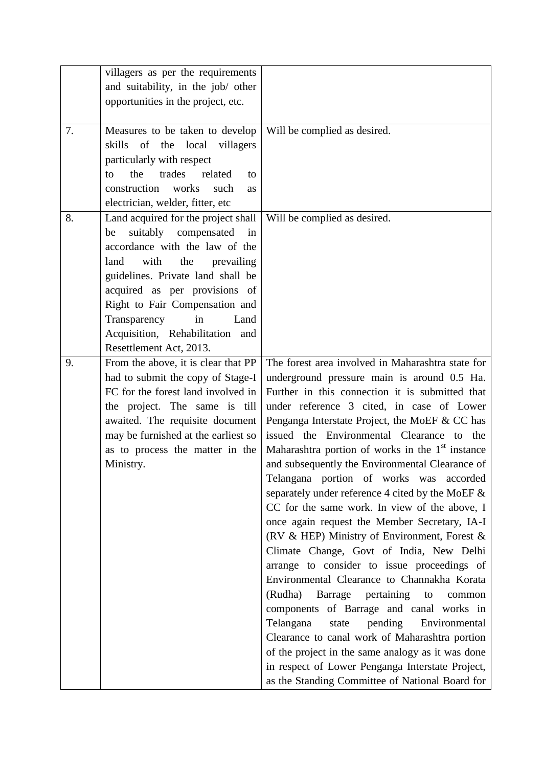|    | villagers as per the requirements          |                                                     |
|----|--------------------------------------------|-----------------------------------------------------|
|    | and suitability, in the job/ other         |                                                     |
|    | opportunities in the project, etc.         |                                                     |
|    |                                            |                                                     |
| 7. | Measures to be taken to develop            | Will be complied as desired.                        |
|    | skills of the local<br>villagers           |                                                     |
|    | particularly with respect                  |                                                     |
|    | the<br>trades<br>related<br>to<br>to       |                                                     |
|    | construction<br>works<br>such<br><b>as</b> |                                                     |
|    | electrician, welder, fitter, etc           |                                                     |
| 8. | Land acquired for the project shall        | Will be complied as desired.                        |
|    | suitably compensated<br>in<br>be           |                                                     |
|    | accordance with the law of the             |                                                     |
|    | with<br>land<br>the<br>prevailing          |                                                     |
|    | guidelines. Private land shall be          |                                                     |
|    | acquired as per provisions of              |                                                     |
|    | Right to Fair Compensation and             |                                                     |
|    | Transparency<br>in<br>Land                 |                                                     |
|    | Acquisition, Rehabilitation and            |                                                     |
|    | Resettlement Act, 2013.                    |                                                     |
| 9. | From the above, it is clear that PP        | The forest area involved in Maharashtra state for   |
|    | had to submit the copy of Stage-I          | underground pressure main is around 0.5 Ha.         |
|    | FC for the forest land involved in         | Further in this connection it is submitted that     |
|    | the project. The same is till              | under reference 3 cited, in case of Lower           |
|    | awaited. The requisite document            | Penganga Interstate Project, the MoEF & CC has      |
|    | may be furnished at the earliest so        | issued the Environmental Clearance to the           |
|    | as to process the matter in the            | Maharashtra portion of works in the $1st$ instance  |
|    | Ministry.                                  | and subsequently the Environmental Clearance of     |
|    |                                            | Telangana portion of works was accorded             |
|    |                                            | separately under reference 4 cited by the MoEF $\&$ |
|    |                                            | CC for the same work. In view of the above, I       |
|    |                                            | once again request the Member Secretary, IA-I       |
|    |                                            | (RV & HEP) Ministry of Environment, Forest &        |
|    |                                            | Climate Change, Govt of India, New Delhi            |
|    |                                            | arrange to consider to issue proceedings of         |
|    |                                            | Environmental Clearance to Channakha Korata         |
|    |                                            | (Rudha)<br>Barrage<br>pertaining<br>to<br>common    |
|    |                                            | components of Barrage and canal works in            |
|    |                                            | Telangana<br>pending<br>Environmental<br>state      |
|    |                                            | Clearance to canal work of Maharashtra portion      |
|    |                                            | of the project in the same analogy as it was done   |
|    |                                            | in respect of Lower Penganga Interstate Project,    |
|    |                                            | as the Standing Committee of National Board for     |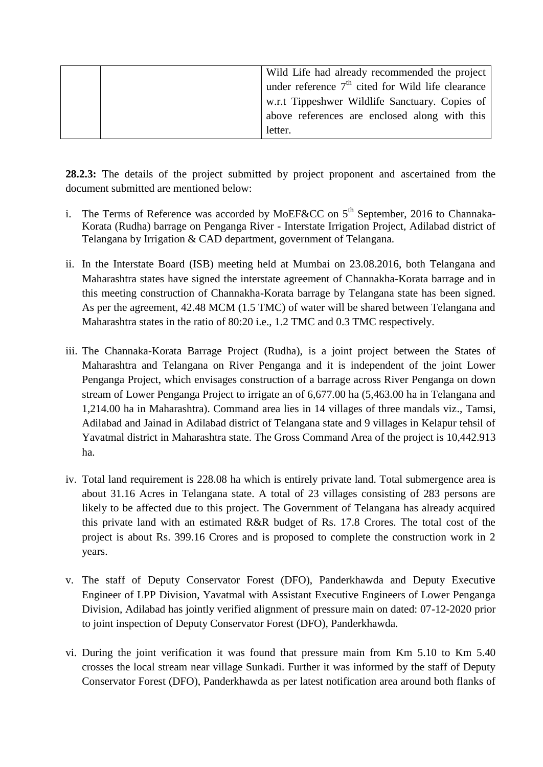| Wild Life had already recommended the project       |
|-----------------------------------------------------|
| under reference $7th$ cited for Wild life clearance |
| w.r.t Tippeshwer Wildlife Sanctuary. Copies of      |
| above references are enclosed along with this       |
| letter.                                             |

**28.2.3:** The details of the project submitted by project proponent and ascertained from the document submitted are mentioned below:

- i. The Terms of Reference was accorded by MoEF&CC on  $5<sup>th</sup>$  September, 2016 to Channaka-Korata (Rudha) barrage on Penganga River - Interstate Irrigation Project, Adilabad district of Telangana by Irrigation & CAD department, government of Telangana.
- ii. In the Interstate Board (ISB) meeting held at Mumbai on 23.08.2016, both Telangana and Maharashtra states have signed the interstate agreement of Channakha-Korata barrage and in this meeting construction of Channakha-Korata barrage by Telangana state has been signed. As per the agreement, 42.48 MCM (1.5 TMC) of water will be shared between Telangana and Maharashtra states in the ratio of 80:20 i.e., 1.2 TMC and 0.3 TMC respectively.
- iii. The Channaka-Korata Barrage Project (Rudha), is a joint project between the States of Maharashtra and Telangana on River Penganga and it is independent of the joint Lower Penganga Project, which envisages construction of a barrage across River Penganga on down stream of Lower Penganga Project to irrigate an of 6,677.00 ha (5,463.00 ha in Telangana and 1,214.00 ha in Maharashtra). Command area lies in 14 villages of three mandals viz., Tamsi, Adilabad and Jainad in Adilabad district of Telangana state and 9 villages in Kelapur tehsil of Yavatmal district in Maharashtra state. The Gross Command Area of the project is 10,442.913 ha.
- iv. Total land requirement is 228.08 ha which is entirely private land. Total submergence area is about 31.16 Acres in Telangana state. A total of 23 villages consisting of 283 persons are likely to be affected due to this project. The Government of Telangana has already acquired this private land with an estimated R&R budget of Rs. 17.8 Crores. The total cost of the project is about Rs. 399.16 Crores and is proposed to complete the construction work in 2 years.
- v. The staff of Deputy Conservator Forest (DFO), Panderkhawda and Deputy Executive Engineer of LPP Division, Yavatmal with Assistant Executive Engineers of Lower Penganga Division, Adilabad has jointly verified alignment of pressure main on dated: 07-12-2020 prior to joint inspection of Deputy Conservator Forest (DFO), Panderkhawda.
- vi. During the joint verification it was found that pressure main from Km 5.10 to Km 5.40 crosses the local stream near village Sunkadi. Further it was informed by the staff of Deputy Conservator Forest (DFO), Panderkhawda as per latest notification area around both flanks of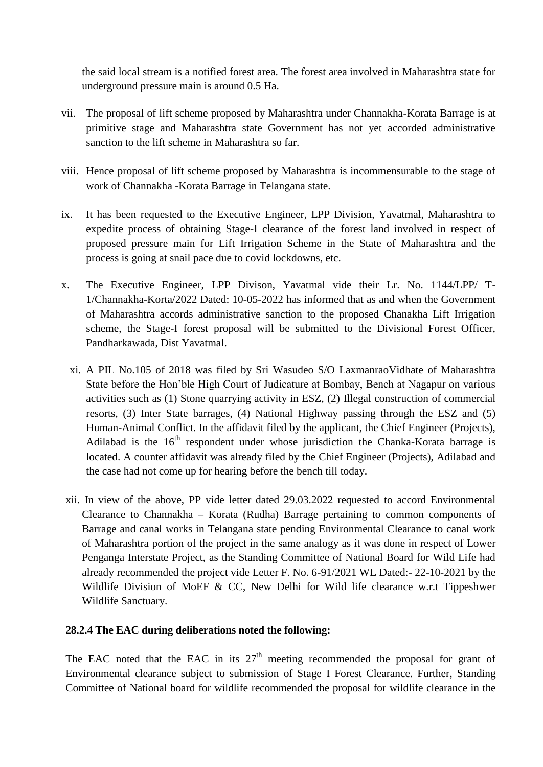the said local stream is a notified forest area. The forest area involved in Maharashtra state for underground pressure main is around 0.5 Ha.

- vii. The proposal of lift scheme proposed by Maharashtra under Channakha-Korata Barrage is at primitive stage and Maharashtra state Government has not yet accorded administrative sanction to the lift scheme in Maharashtra so far.
- viii. Hence proposal of lift scheme proposed by Maharashtra is incommensurable to the stage of work of Channakha -Korata Barrage in Telangana state.
- ix. It has been requested to the Executive Engineer, LPP Division, Yavatmal, Maharashtra to expedite process of obtaining Stage-I clearance of the forest land involved in respect of proposed pressure main for Lift Irrigation Scheme in the State of Maharashtra and the process is going at snail pace due to covid lockdowns, etc.
- x. The Executive Engineer, LPP Divison, Yavatmal vide their Lr. No. 1144/LPP/ T-1/Channakha-Korta/2022 Dated: 10-05-2022 has informed that as and when the Government of Maharashtra accords administrative sanction to the proposed Chanakha Lift Irrigation scheme, the Stage-I forest proposal will be submitted to the Divisional Forest Officer, Pandharkawada, Dist Yavatmal.
	- xi. A PIL No.105 of 2018 was filed by Sri Wasudeo S/O LaxmanraoVidhate of Maharashtra State before the Hon'ble High Court of Judicature at Bombay, Bench at Nagapur on various activities such as (1) Stone quarrying activity in ESZ, (2) Illegal construction of commercial resorts, (3) Inter State barrages, (4) National Highway passing through the ESZ and (5) Human-Animal Conflict. In the affidavit filed by the applicant, the Chief Engineer (Projects), Adilabad is the  $16<sup>th</sup>$  respondent under whose jurisdiction the Chanka-Korata barrage is located. A counter affidavit was already filed by the Chief Engineer (Projects), Adilabad and the case had not come up for hearing before the bench till today.
- xii. In view of the above, PP vide letter dated 29.03.2022 requested to accord Environmental Clearance to Channakha – Korata (Rudha) Barrage pertaining to common components of Barrage and canal works in Telangana state pending Environmental Clearance to canal work of Maharashtra portion of the project in the same analogy as it was done in respect of Lower Penganga Interstate Project, as the Standing Committee of National Board for Wild Life had already recommended the project vide Letter F. No. 6-91/2021 WL Dated:- 22-10-2021 by the Wildlife Division of MoEF & CC, New Delhi for Wild life clearance w.r.t Tippeshwer Wildlife Sanctuary.

#### **28.2.4 The EAC during deliberations noted the following:**

The EAC noted that the EAC in its  $27<sup>th</sup>$  meeting recommended the proposal for grant of Environmental clearance subject to submission of Stage I Forest Clearance. Further, Standing Committee of National board for wildlife recommended the proposal for wildlife clearance in the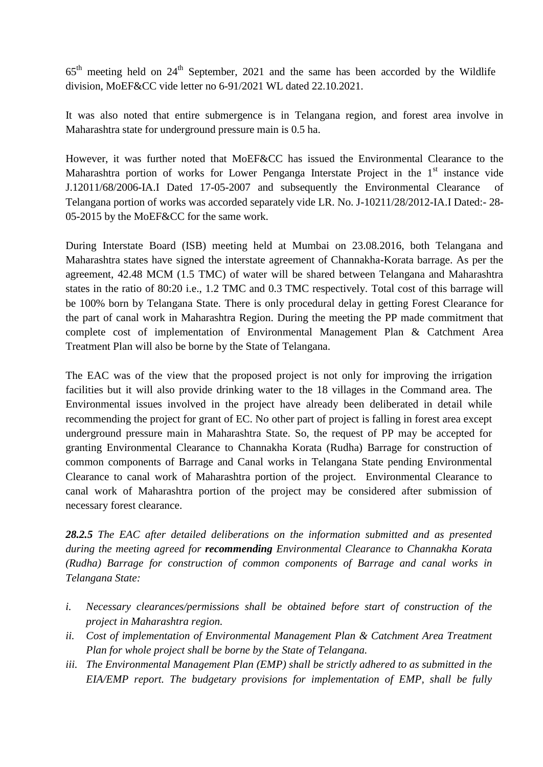$65<sup>th</sup>$  meeting held on 24<sup>th</sup> September, 2021 and the same has been accorded by the Wildlife division, MoEF&CC vide letter no 6-91/2021 WL dated 22.10.2021.

It was also noted that entire submergence is in Telangana region, and forest area involve in Maharashtra state for underground pressure main is 0.5 ha.

However, it was further noted that MoEF&CC has issued the Environmental Clearance to the Maharashtra portion of works for Lower Penganga Interstate Project in the  $1<sup>st</sup>$  instance vide J.12011/68/2006-IA.I Dated 17-05-2007 and subsequently the Environmental Clearance of Telangana portion of works was accorded separately vide LR. No. J-10211/28/2012-IA.I Dated:- 28- 05-2015 by the MoEF&CC for the same work.

During Interstate Board (ISB) meeting held at Mumbai on 23.08.2016, both Telangana and Maharashtra states have signed the interstate agreement of Channakha-Korata barrage. As per the agreement, 42.48 MCM (1.5 TMC) of water will be shared between Telangana and Maharashtra states in the ratio of 80:20 i.e., 1.2 TMC and 0.3 TMC respectively. Total cost of this barrage will be 100% born by Telangana State. There is only procedural delay in getting Forest Clearance for the part of canal work in Maharashtra Region. During the meeting the PP made commitment that complete cost of implementation of Environmental Management Plan & Catchment Area Treatment Plan will also be borne by the State of Telangana.

The EAC was of the view that the proposed project is not only for improving the irrigation facilities but it will also provide drinking water to the 18 villages in the Command area. The Environmental issues involved in the project have already been deliberated in detail while recommending the project for grant of EC. No other part of project is falling in forest area except underground pressure main in Maharashtra State. So, the request of PP may be accepted for granting Environmental Clearance to Channakha Korata (Rudha) Barrage for construction of common components of Barrage and Canal works in Telangana State pending Environmental Clearance to canal work of Maharashtra portion of the project. Environmental Clearance to canal work of Maharashtra portion of the project may be considered after submission of necessary forest clearance.

*28.2.5 The EAC after detailed deliberations on the information submitted and as presented during the meeting agreed for recommending Environmental Clearance to Channakha Korata (Rudha) Barrage for construction of common components of Barrage and canal works in Telangana State:*

- *i. Necessary clearances/permissions shall be obtained before start of construction of the project in Maharashtra region.*
- *ii. Cost of implementation of Environmental Management Plan & Catchment Area Treatment Plan for whole project shall be borne by the State of Telangana.*
- *iii. The Environmental Management Plan (EMP) shall be strictly adhered to as submitted in the EIA/EMP report. The budgetary provisions for implementation of EMP, shall be fully*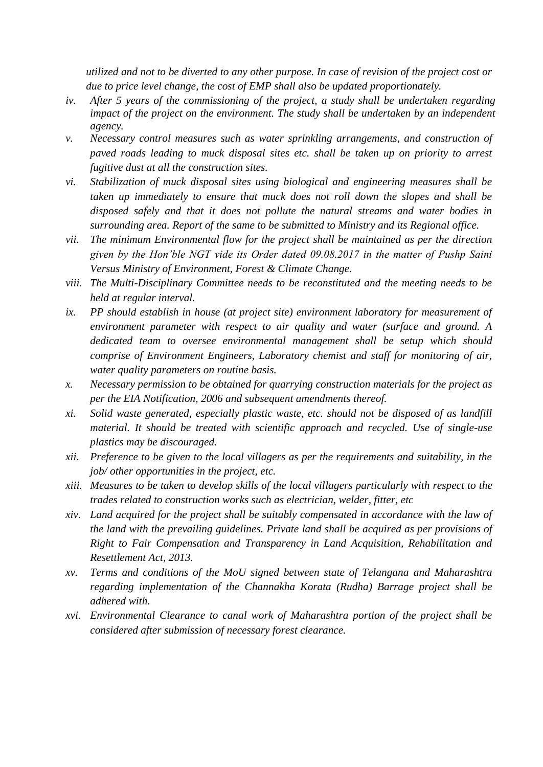*utilized and not to be diverted to any other purpose. In case of revision of the project cost or due to price level change, the cost of EMP shall also be updated proportionately.*

- *iv. After 5 years of the commissioning of the project, a study shall be undertaken regarding impact of the project on the environment. The study shall be undertaken by an independent agency.*
- *v. Necessary control measures such as water sprinkling arrangements, and construction of paved roads leading to muck disposal sites etc. shall be taken up on priority to arrest fugitive dust at all the construction sites.*
- *vi. Stabilization of muck disposal sites using biological and engineering measures shall be taken up immediately to ensure that muck does not roll down the slopes and shall be disposed safely and that it does not pollute the natural streams and water bodies in surrounding area. Report of the same to be submitted to Ministry and its Regional office.*
- *vii. The minimum Environmental flow for the project shall be maintained as per the direction given by the Hon'ble NGT vide its Order dated 09.08.2017 in the matter of Pushp Saini Versus Ministry of Environment, Forest & Climate Change.*
- *viii. The Multi-Disciplinary Committee needs to be reconstituted and the meeting needs to be held at regular interval.*
- *ix. PP should establish in house (at project site) environment laboratory for measurement of environment parameter with respect to air quality and water (surface and ground. A dedicated team to oversee environmental management shall be setup which should comprise of Environment Engineers, Laboratory chemist and staff for monitoring of air, water quality parameters on routine basis.*
- *x. Necessary permission to be obtained for quarrying construction materials for the project as per the EIA Notification, 2006 and subsequent amendments thereof.*
- *xi. Solid waste generated, especially plastic waste, etc. should not be disposed of as landfill material. It should be treated with scientific approach and recycled. Use of single-use plastics may be discouraged.*
- *xii. Preference to be given to the local villagers as per the requirements and suitability, in the job/ other opportunities in the project, etc.*
- *xiii. Measures to be taken to develop skills of the local villagers particularly with respect to the trades related to construction works such as electrician, welder, fitter, etc*
- *xiv. Land acquired for the project shall be suitably compensated in accordance with the law of the land with the prevailing guidelines. Private land shall be acquired as per provisions of Right to Fair Compensation and Transparency in Land Acquisition, Rehabilitation and Resettlement Act, 2013.*
- *xv. Terms and conditions of the MoU signed between state of Telangana and Maharashtra regarding implementation of the Channakha Korata (Rudha) Barrage project shall be adhered with.*
- *xvi. Environmental Clearance to canal work of Maharashtra portion of the project shall be considered after submission of necessary forest clearance.*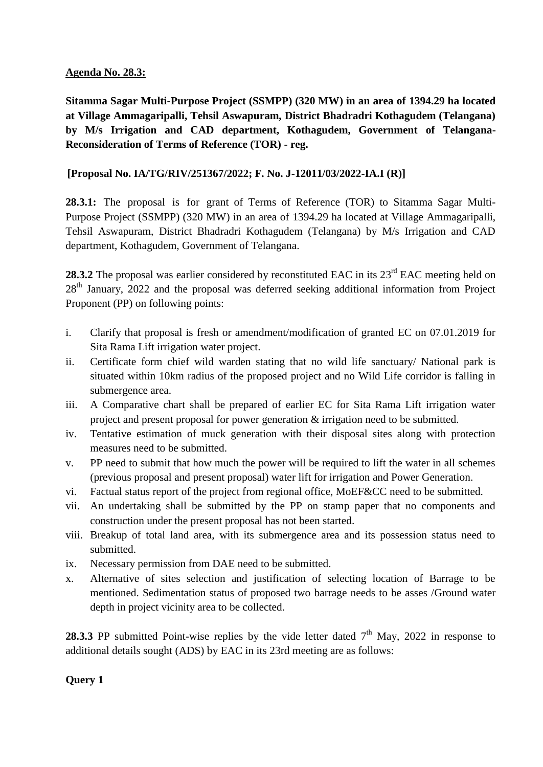#### **Agenda No. 28.3:**

**Sitamma Sagar Multi-Purpose Project (SSMPP) (320 MW) in an area of 1394.29 ha located at Village Ammagaripalli, Tehsil Aswapuram, District Bhadradri Kothagudem (Telangana) by M/s Irrigation and CAD department, Kothagudem, Government of Telangana-Reconsideration of Terms of Reference (TOR) - reg.**

# **[Proposal No. IA/TG/RIV/251367/2022; F. No. J-12011/03/2022-IA.I (R)]**

**28.3.1:** The proposal is for grant of Terms of Reference (TOR) to Sitamma Sagar Multi-Purpose Project (SSMPP) (320 MW) in an area of 1394.29 ha located at Village Ammagaripalli, Tehsil Aswapuram, District Bhadradri Kothagudem (Telangana) by M/s Irrigation and CAD department, Kothagudem, Government of Telangana.

**28.3.2** The proposal was earlier considered by reconstituted EAC in its 23<sup>rd</sup> EAC meeting held on 28<sup>th</sup> January, 2022 and the proposal was deferred seeking additional information from Project Proponent (PP) on following points:

- i. Clarify that proposal is fresh or amendment/modification of granted EC on 07.01.2019 for Sita Rama Lift irrigation water project.
- ii. Certificate form chief wild warden stating that no wild life sanctuary/ National park is situated within 10km radius of the proposed project and no Wild Life corridor is falling in submergence area.
- iii. A Comparative chart shall be prepared of earlier EC for Sita Rama Lift irrigation water project and present proposal for power generation & irrigation need to be submitted.
- iv. Tentative estimation of muck generation with their disposal sites along with protection measures need to be submitted.
- v. PP need to submit that how much the power will be required to lift the water in all schemes (previous proposal and present proposal) water lift for irrigation and Power Generation.
- vi. Factual status report of the project from regional office, MoEF&CC need to be submitted.
- vii. An undertaking shall be submitted by the PP on stamp paper that no components and construction under the present proposal has not been started.
- viii. Breakup of total land area, with its submergence area and its possession status need to submitted.
- ix. Necessary permission from DAE need to be submitted.
- x. Alternative of sites selection and justification of selecting location of Barrage to be mentioned. Sedimentation status of proposed two barrage needs to be asses /Ground water depth in project vicinity area to be collected.

**28.3.3** PP submitted Point-wise replies by the vide letter dated  $7<sup>th</sup>$  May, 2022 in response to additional details sought (ADS) by EAC in its 23rd meeting are as follows:

# **Query 1**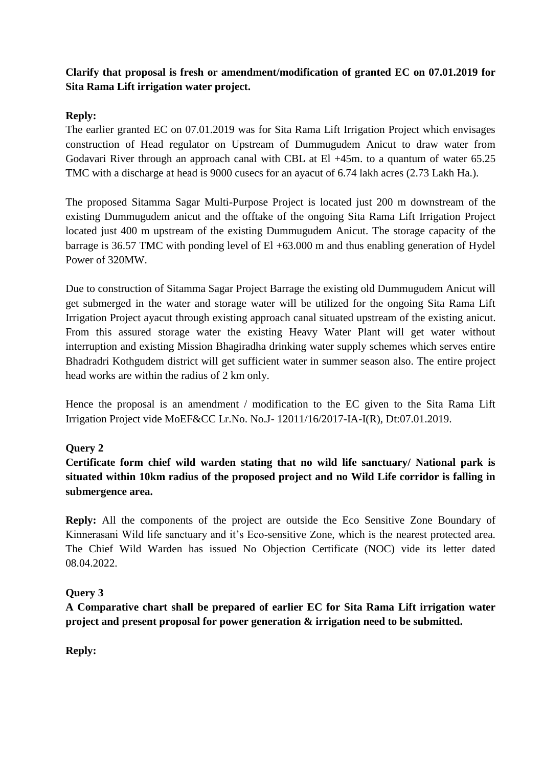# **Clarify that proposal is fresh or amendment/modification of granted EC on 07.01.2019 for Sita Rama Lift irrigation water project.**

# **Reply:**

The earlier granted EC on 07.01.2019 was for Sita Rama Lift Irrigation Project which envisages construction of Head regulator on Upstream of Dummugudem Anicut to draw water from Godavari River through an approach canal with CBL at El +45m. to a quantum of water 65.25 TMC with a discharge at head is 9000 cusecs for an ayacut of 6.74 lakh acres (2.73 Lakh Ha.).

The proposed Sitamma Sagar Multi-Purpose Project is located just 200 m downstream of the existing Dummugudem anicut and the offtake of the ongoing Sita Rama Lift Irrigation Project located just 400 m upstream of the existing Dummugudem Anicut. The storage capacity of the barrage is 36.57 TMC with ponding level of  $El +63.000$  m and thus enabling generation of Hydel Power of 320MW.

Due to construction of Sitamma Sagar Project Barrage the existing old Dummugudem Anicut will get submerged in the water and storage water will be utilized for the ongoing Sita Rama Lift Irrigation Project ayacut through existing approach canal situated upstream of the existing anicut. From this assured storage water the existing Heavy Water Plant will get water without interruption and existing Mission Bhagiradha drinking water supply schemes which serves entire Bhadradri Kothgudem district will get sufficient water in summer season also. The entire project head works are within the radius of 2 km only.

Hence the proposal is an amendment / modification to the EC given to the Sita Rama Lift Irrigation Project vide MoEF&CC Lr.No. No.J- 12011/16/2017-IA-I(R), Dt:07.01.2019.

# **Query 2**

**Certificate form chief wild warden stating that no wild life sanctuary/ National park is situated within 10km radius of the proposed project and no Wild Life corridor is falling in submergence area.**

**Reply:** All the components of the project are outside the Eco Sensitive Zone Boundary of Kinnerasani Wild life sanctuary and it's Eco-sensitive Zone, which is the nearest protected area. The Chief Wild Warden has issued No Objection Certificate (NOC) vide its letter dated 08.04.2022.

#### **Query 3**

**A Comparative chart shall be prepared of earlier EC for Sita Rama Lift irrigation water project and present proposal for power generation & irrigation need to be submitted.**

**Reply:**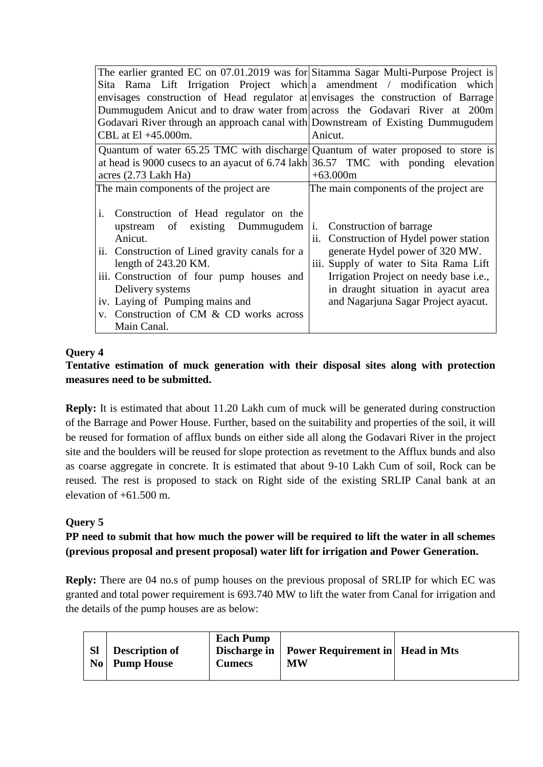| The earlier granted EC on 07.01.2019 was for Sitamma Sagar Multi-Purpose Project is |                                         |
|-------------------------------------------------------------------------------------|-----------------------------------------|
| Sita Rama Lift Irrigation Project which a amendment / modification which            |                                         |
| envisages construction of Head regulator at envisages the construction of Barrage   |                                         |
| Dummugudem Anicut and to draw water from across the Godavari River at 200m          |                                         |
| Godavari River through an approach canal with Downstream of Existing Dummugudem     |                                         |
| CBL at El +45.000m.                                                                 | Anicut.                                 |
| Quantum of water 65.25 TMC with discharge Quantum of water proposed to store is     |                                         |
| at head is 9000 cusecs to an ayacut of 6.74 lakh $36.57$ TMC with ponding elevation |                                         |
| acres $(2.73$ Lakh Ha)                                                              | $+63.000m$                              |
| The main components of the project are                                              | The main components of the project are. |
|                                                                                     |                                         |
| $\mathbf{i}$ .<br>Construction of Head regulator on the                             |                                         |
| upstream of existing Dummugudem                                                     | <i>i.</i> Construction of barrage       |
| Anicut.                                                                             | ii. Construction of Hydel power station |
| ii. Construction of Lined gravity canals for a                                      | generate Hydel power of 320 MW.         |
| length of $243.20$ KM.                                                              | iii. Supply of water to Sita Rama Lift  |
| iii. Construction of four pump houses and                                           | Irrigation Project on needy base i.e.,  |
| Delivery systems                                                                    | in draught situation in ayacut area     |
| iv. Laying of Pumping mains and                                                     | and Nagarjuna Sagar Project ayacut.     |
| v. Construction of CM & CD works across                                             |                                         |
| Main Canal.                                                                         |                                         |

# **Query 4**

# **Tentative estimation of muck generation with their disposal sites along with protection measures need to be submitted.**

**Reply:** It is estimated that about 11.20 Lakh cum of muck will be generated during construction of the Barrage and Power House. Further, based on the suitability and properties of the soil, it will be reused for formation of afflux bunds on either side all along the Godavari River in the project site and the boulders will be reused for slope protection as revetment to the Afflux bunds and also as coarse aggregate in concrete. It is estimated that about 9-10 Lakh Cum of soil, Rock can be reused. The rest is proposed to stack on Right side of the existing SRLIP Canal bank at an elevation of +61.500 m.

# **Query 5**

# **PP need to submit that how much the power will be required to lift the water in all schemes (previous proposal and present proposal) water lift for irrigation and Power Generation.**

**Reply:** There are 04 no.s of pump houses on the previous proposal of SRLIP for which EC was granted and total power requirement is 693.740 MW to lift the water from Canal for irrigation and the details of the pump houses are as below: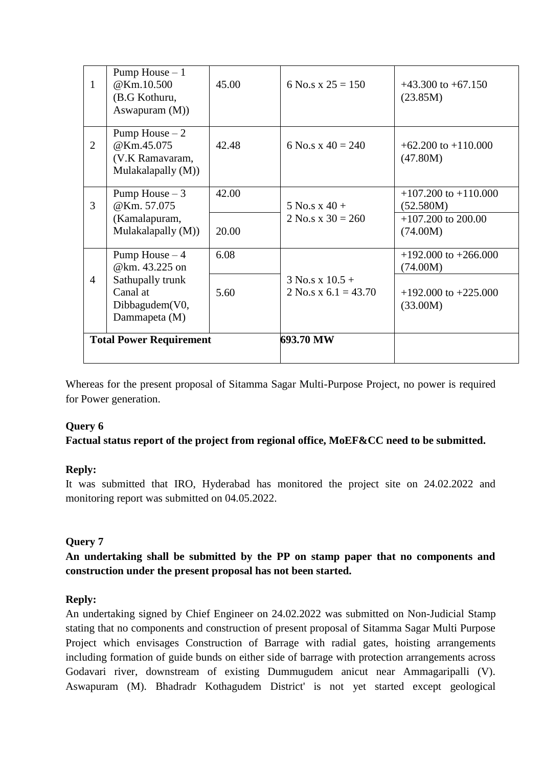| 1              | Pump House $-1$<br>@Km.10.500<br>(B.G Kothuru,<br>Aswapuram $(M)$ )                                  | 45.00          | 6 No.s x $25 = 150$                           | $+43.300$ to $+67.150$<br>(23.85M)                                           |
|----------------|------------------------------------------------------------------------------------------------------|----------------|-----------------------------------------------|------------------------------------------------------------------------------|
| $\overline{2}$ | Pump House $-2$<br>@Km.45.075<br>(V.K Ramavaram,<br>Mulakalapally (M))                               | 42.48          | 6 No.s x $40 = 240$                           | $+62.200$ to $+110.000$<br>(47.80M)                                          |
| 3              | Pump House $-3$<br>@Km. 57.075<br>(Kamalapuram,<br>Mulakalapally (M))                                | 42.00<br>20.00 | 5 No.s x $40 +$<br>$2$ No.s x $30 = 260$      | $+107.200$ to $+110.000$<br>(52.580M)<br>$+107.200$ to 200.00<br>(74.00M)    |
| 4              | Pump House $-4$<br>@km. 43.225 on<br>Sathupally trunk<br>Canal at<br>Dibbagudem(V0,<br>Dammapeta (M) | 6.08<br>5.60   | $3$ No.s x $10.5 +$<br>2 No.s x $6.1 = 43.70$ | $+192.000$ to $+266.000$<br>(74.00M)<br>$+192.000$ to $+225.000$<br>(33.00M) |
|                | <b>Total Power Requirement</b>                                                                       |                | 693.70 MW                                     |                                                                              |

Whereas for the present proposal of Sitamma Sagar Multi-Purpose Project, no power is required for Power generation.

#### **Query 6**

# **Factual status report of the project from regional office, MoEF&CC need to be submitted.**

#### **Reply:**

It was submitted that IRO, Hyderabad has monitored the project site on 24.02.2022 and monitoring report was submitted on 04.05.2022.

#### **Query 7**

### **An undertaking shall be submitted by the PP on stamp paper that no components and construction under the present proposal has not been started.**

#### **Reply:**

An undertaking signed by Chief Engineer on 24.02.2022 was submitted on Non-Judicial Stamp stating that no components and construction of present proposal of Sitamma Sagar Multi Purpose Project which envisages Construction of Barrage with radial gates, hoisting arrangements including formation of guide bunds on either side of barrage with protection arrangements across Godavari river, downstream of existing Dummugudem anicut near Ammagaripalli (V). Aswapuram (M). Bhadradr Kothagudem District' is not yet started except geological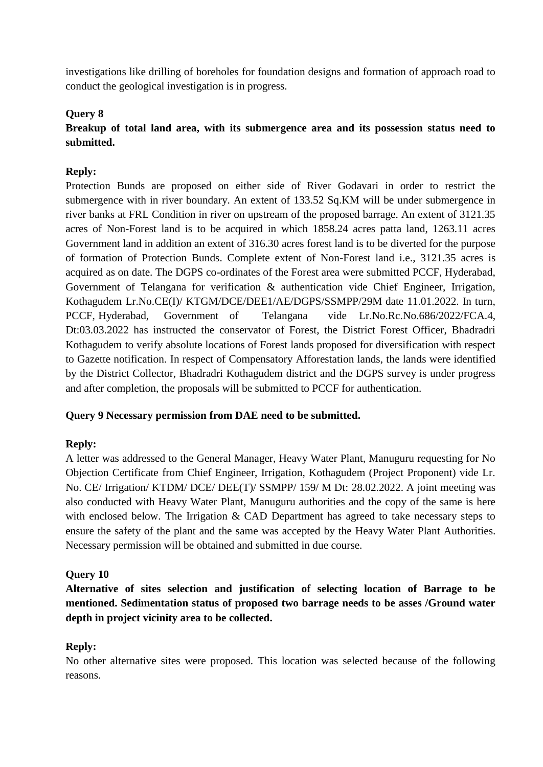investigations like drilling of boreholes for foundation designs and formation of approach road to conduct the geological investigation is in progress.

#### **Query 8**

# **Breakup of total land area, with its submergence area and its possession status need to submitted.**

#### **Reply:**

Protection Bunds are proposed on either side of River Godavari in order to restrict the submergence with in river boundary. An extent of 133.52 Sq.KM will be under submergence in river banks at FRL Condition in river on upstream of the proposed barrage. An extent of 3121.35 acres of Non-Forest land is to be acquired in which 1858.24 acres patta land, 1263.11 acres Government land in addition an extent of 316.30 acres forest land is to be diverted for the purpose of formation of Protection Bunds. Complete extent of Non-Forest land i.e., 3121.35 acres is acquired as on date. The DGPS co-ordinates of the Forest area were submitted PCCF, Hyderabad, Government of Telangana for verification & authentication vide Chief Engineer, Irrigation, Kothagudem Lr.No.CE(I)/ KTGM/DCE/DEE1/AE/DGPS/SSMPP/29M date 11.01.2022. In turn, PCCF, Hyderabad, Government of Telangana vide Lr.No.Rc.No.686/2022/FCA.4, Dt:03.03.2022 has instructed the conservator of Forest, the District Forest Officer, Bhadradri Kothagudem to verify absolute locations of Forest lands proposed for diversification with respect to Gazette notification. In respect of Compensatory Afforestation lands, the lands were identified by the District Collector, Bhadradri Kothagudem district and the DGPS survey is under progress and after completion, the proposals will be submitted to PCCF for authentication.

#### **Query 9 Necessary permission from DAE need to be submitted.**

#### **Reply:**

A letter was addressed to the General Manager, Heavy Water Plant, Manuguru requesting for No Objection Certificate from Chief Engineer, Irrigation, Kothagudem (Project Proponent) vide Lr. No. CE/ Irrigation/ KTDM/ DCE/ DEE(T)/ SSMPP/ 159/ M Dt: 28.02.2022. A joint meeting was also conducted with Heavy Water Plant, Manuguru authorities and the copy of the same is here with enclosed below. The Irrigation & CAD Department has agreed to take necessary steps to ensure the safety of the plant and the same was accepted by the Heavy Water Plant Authorities. Necessary permission will be obtained and submitted in due course.

#### **Query 10**

**Alternative of sites selection and justification of selecting location of Barrage to be mentioned. Sedimentation status of proposed two barrage needs to be asses /Ground water depth in project vicinity area to be collected.**

#### **Reply:**

No other alternative sites were proposed. This location was selected because of the following reasons.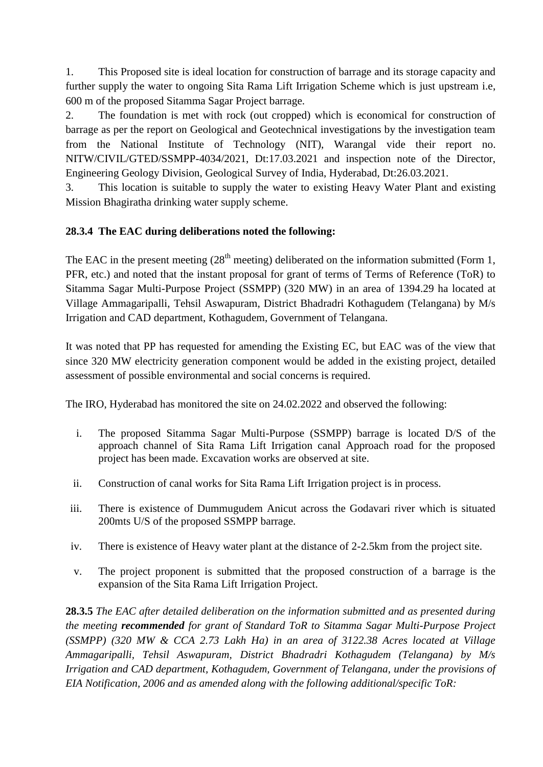1. This Proposed site is ideal location for construction of barrage and its storage capacity and further supply the water to ongoing Sita Rama Lift Irrigation Scheme which is just upstream i.e, 600 m of the proposed Sitamma Sagar Project barrage.

2. The foundation is met with rock (out cropped) which is economical for construction of barrage as per the report on Geological and Geotechnical investigations by the investigation team from the National Institute of Technology (NIT), Warangal vide their report no. NITW/CIVIL/GTED/SSMPP-4034/2021, Dt:17.03.2021 and inspection note of the Director, Engineering Geology Division, Geological Survey of India, Hyderabad, Dt:26.03.2021.

3. This location is suitable to supply the water to existing Heavy Water Plant and existing Mission Bhagiratha drinking water supply scheme.

# **28.3.4 The EAC during deliberations noted the following:**

The EAC in the present meeting  $(28<sup>th</sup>$  meeting) deliberated on the information submitted (Form 1, PFR, etc.) and noted that the instant proposal for grant of terms of Terms of Reference (ToR) to Sitamma Sagar Multi-Purpose Project (SSMPP) (320 MW) in an area of 1394.29 ha located at Village Ammagaripalli, Tehsil Aswapuram, District Bhadradri Kothagudem (Telangana) by M/s Irrigation and CAD department, Kothagudem, Government of Telangana.

It was noted that PP has requested for amending the Existing EC, but EAC was of the view that since 320 MW electricity generation component would be added in the existing project, detailed assessment of possible environmental and social concerns is required.

The IRO, Hyderabad has monitored the site on 24.02.2022 and observed the following:

- i. The proposed Sitamma Sagar Multi-Purpose (SSMPP) barrage is located D/S of the approach channel of Sita Rama Lift Irrigation canal Approach road for the proposed project has been made. Excavation works are observed at site.
- ii. Construction of canal works for Sita Rama Lift Irrigation project is in process.
- iii. There is existence of Dummugudem Anicut across the Godavari river which is situated 200mts U/S of the proposed SSMPP barrage.
- iv. There is existence of Heavy water plant at the distance of 2-2.5km from the project site.
- v. The project proponent is submitted that the proposed construction of a barrage is the expansion of the Sita Rama Lift Irrigation Project.

**28.3.5** *The EAC after detailed deliberation on the information submitted and as presented during the meeting recommended for grant of Standard ToR to Sitamma Sagar Multi-Purpose Project (SSMPP) (320 MW & CCA 2.73 Lakh Ha) in an area of 3122.38 Acres located at Village Ammagaripalli, Tehsil Aswapuram, District Bhadradri Kothagudem (Telangana) by M/s Irrigation and CAD department, Kothagudem, Government of Telangana, under the provisions of EIA Notification, 2006 and as amended along with the following additional/specific ToR:*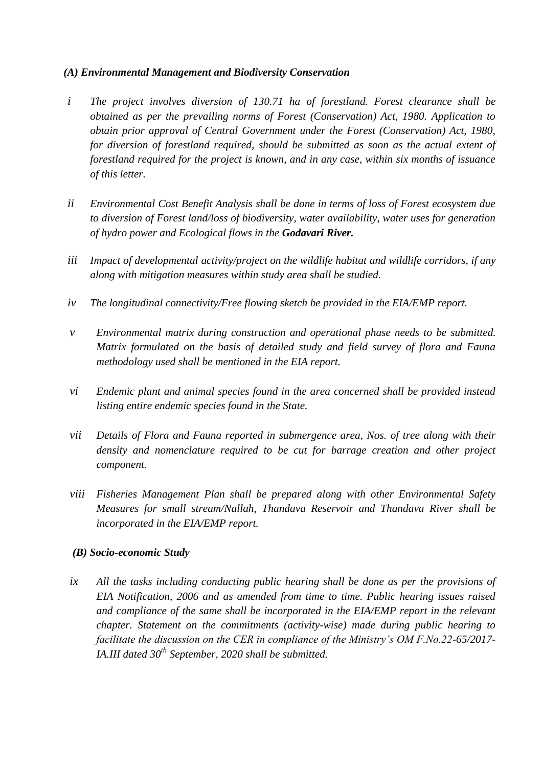### *(A) Environmental Management and Biodiversity Conservation*

- *i The project involves diversion of 130.71 ha of forestland. Forest clearance shall be obtained as per the prevailing norms of Forest (Conservation) Act, 1980. Application to obtain prior approval of Central Government under the Forest (Conservation) Act, 1980, for diversion of forestland required, should be submitted as soon as the actual extent of forestland required for the project is known, and in any case, within six months of issuance of this letter.*
- *ii Environmental Cost Benefit Analysis shall be done in terms of loss of Forest ecosystem due to diversion of Forest land/loss of biodiversity, water availability, water uses for generation of hydro power and Ecological flows in the Godavari River.*
- *iii Impact of developmental activity/project on the wildlife habitat and wildlife corridors, if any along with mitigation measures within study area shall be studied.*
- *iv The longitudinal connectivity/Free flowing sketch be provided in the EIA/EMP report.*
- *v Environmental matrix during construction and operational phase needs to be submitted. Matrix formulated on the basis of detailed study and field survey of flora and Fauna methodology used shall be mentioned in the EIA report.*
- *vi Endemic plant and animal species found in the area concerned shall be provided instead listing entire endemic species found in the State.*
- *vii Details of Flora and Fauna reported in submergence area, Nos. of tree along with their density and nomenclature required to be cut for barrage creation and other project component.*
- *viii Fisheries Management Plan shall be prepared along with other Environmental Safety Measures for small stream/Nallah, Thandava Reservoir and Thandava River shall be incorporated in the EIA/EMP report.*

#### *(B) Socio-economic Study*

*ix All the tasks including conducting public hearing shall be done as per the provisions of EIA Notification, 2006 and as amended from time to time. Public hearing issues raised and compliance of the same shall be incorporated in the EIA/EMP report in the relevant chapter. Statement on the commitments (activity-wise) made during public hearing to facilitate the discussion on the CER in compliance of the Ministry's OM F.No.22-65/2017- IA.III dated 30th September, 2020 shall be submitted.*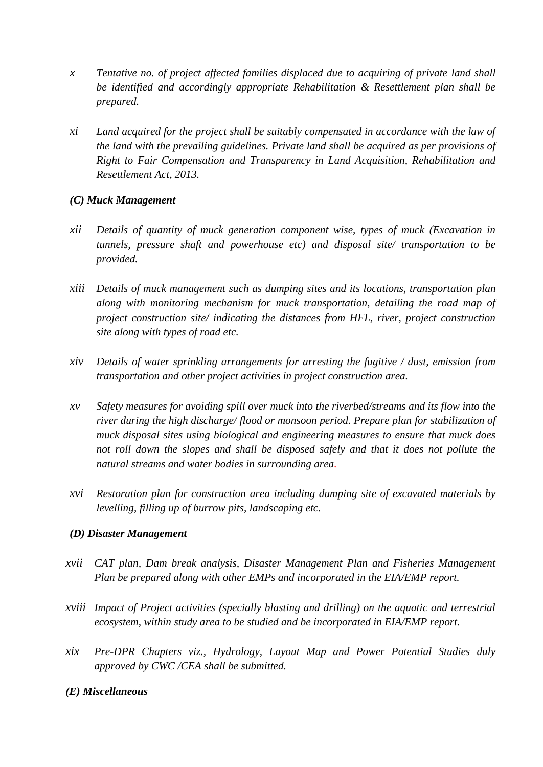- *x Tentative no. of project affected families displaced due to acquiring of private land shall be identified and accordingly appropriate Rehabilitation & Resettlement plan shall be prepared.*
- *xi Land acquired for the project shall be suitably compensated in accordance with the law of the land with the prevailing guidelines. Private land shall be acquired as per provisions of Right to Fair Compensation and Transparency in Land Acquisition, Rehabilitation and Resettlement Act, 2013.*

#### *(C) Muck Management*

- *xii Details of quantity of muck generation component wise, types of muck (Excavation in tunnels, pressure shaft and powerhouse etc) and disposal site/ transportation to be provided.*
- *xiii Details of muck management such as dumping sites and its locations, transportation plan along with monitoring mechanism for muck transportation, detailing the road map of project construction site/ indicating the distances from HFL, river, project construction site along with types of road etc.*
- *xiv Details of water sprinkling arrangements for arresting the fugitive / dust, emission from transportation and other project activities in project construction area.*
- *xv Safety measures for avoiding spill over muck into the riverbed/streams and its flow into the river during the high discharge/ flood or monsoon period. Prepare plan for stabilization of muck disposal sites using biological and engineering measures to ensure that muck does*  not roll down the slopes and shall be disposed safely and that it does not pollute the *natural streams and water bodies in surrounding area.*
- *xvi Restoration plan for construction area including dumping site of excavated materials by levelling, filling up of burrow pits, landscaping etc.*

#### *(D) Disaster Management*

- *xvii CAT plan, Dam break analysis, Disaster Management Plan and Fisheries Management Plan be prepared along with other EMPs and incorporated in the EIA/EMP report.*
- *xviii Impact of Project activities (specially blasting and drilling) on the aquatic and terrestrial ecosystem, within study area to be studied and be incorporated in EIA/EMP report.*
- *xix Pre-DPR Chapters viz., Hydrology, Layout Map and Power Potential Studies duly approved by CWC /CEA shall be submitted.*
- *(E) Miscellaneous*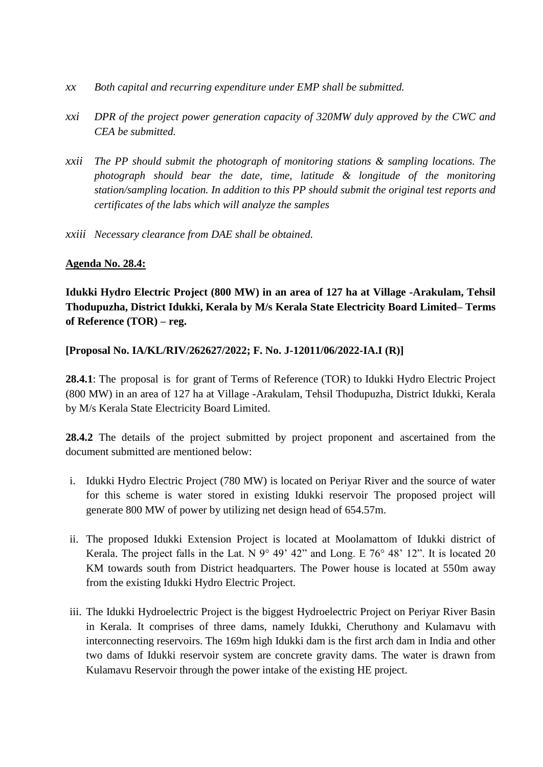- *xx Both capital and recurring expenditure under EMP shall be submitted.*
- *xxi DPR of the project power generation capacity of 320MW duly approved by the CWC and CEA be submitted.*
- *xxii The PP should submit the photograph of monitoring stations & sampling locations. The photograph should bear the date, time, latitude & longitude of the monitoring station/sampling location. In addition to this PP should submit the original test reports and certificates of the labs which will analyze the samples*
- *xxiii Necessary clearance from DAE shall be obtained.*

#### **Agenda No. 28.4:**

**Idukki Hydro Electric Project (800 MW) in an area of 127 ha at Village -Arakulam, Tehsil Thodupuzha, District Idukki, Kerala by M/s Kerala State Electricity Board Limited– Terms of Reference (TOR) – reg.**

**[Proposal No. IA/KL/RIV/262627/2022; F. No. J-12011/06/2022-IA.I (R)]**

**28.4.1**: The proposal is for grant of Terms of Reference (TOR) to Idukki Hydro Electric Project (800 MW) in an area of 127 ha at Village -Arakulam, Tehsil Thodupuzha, District Idukki, Kerala by M/s Kerala State Electricity Board Limited.

**28.4.2** The details of the project submitted by project proponent and ascertained from the document submitted are mentioned below:

- i. Idukki Hydro Electric Project (780 MW) is located on Periyar River and the source of water for this scheme is water stored in existing Idukki reservoir The proposed project will generate 800 MW of power by utilizing net design head of 654.57m.
- ii. The proposed Idukki Extension Project is located at Moolamattom of Idukki district of Kerala. The project falls in the Lat. N  $9^{\circ}$  49' 42" and Long. E 76° 48' 12". It is located 20 KM towards south from District headquarters. The Power house is located at 550m away from the existing Idukki Hydro Electric Project.
- iii. The Idukki Hydroelectric Project is the biggest Hydroelectric Project on Periyar River Basin in Kerala. It comprises of three dams, namely Idukki, Cheruthony and Kulamavu with interconnecting reservoirs. The 169m high Idukki dam is the first arch dam in India and other two dams of Idukki reservoir system are concrete gravity dams. The water is drawn from Kulamavu Reservoir through the power intake of the existing HE project.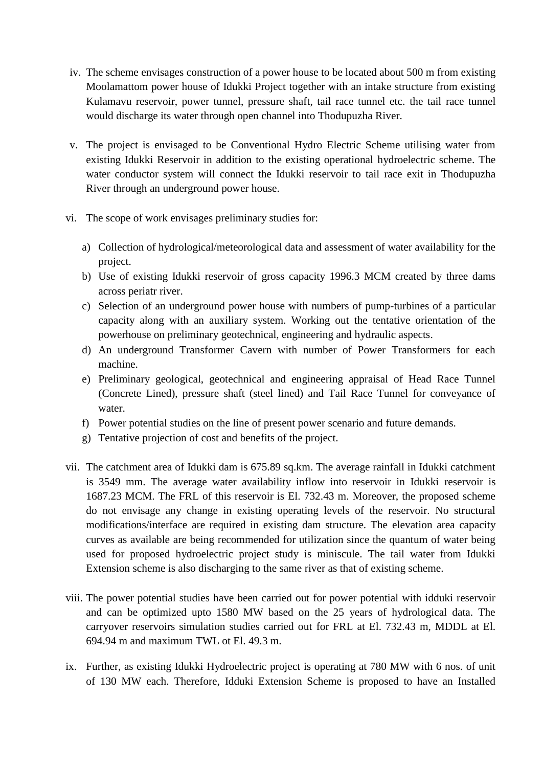- iv. The scheme envisages construction of a power house to be located about 500 m from existing Moolamattom power house of Idukki Project together with an intake structure from existing Kulamavu reservoir, power tunnel, pressure shaft, tail race tunnel etc. the tail race tunnel would discharge its water through open channel into Thodupuzha River.
- v. The project is envisaged to be Conventional Hydro Electric Scheme utilising water from existing Idukki Reservoir in addition to the existing operational hydroelectric scheme. The water conductor system will connect the Idukki reservoir to tail race exit in Thodupuzha River through an underground power house.
- vi. The scope of work envisages preliminary studies for:
	- a) Collection of hydrological/meteorological data and assessment of water availability for the project.
	- b) Use of existing Idukki reservoir of gross capacity 1996.3 MCM created by three dams across periatr river.
	- c) Selection of an underground power house with numbers of pump-turbines of a particular capacity along with an auxiliary system. Working out the tentative orientation of the powerhouse on preliminary geotechnical, engineering and hydraulic aspects.
	- d) An underground Transformer Cavern with number of Power Transformers for each machine.
	- e) Preliminary geological, geotechnical and engineering appraisal of Head Race Tunnel (Concrete Lined), pressure shaft (steel lined) and Tail Race Tunnel for conveyance of water.
	- f) Power potential studies on the line of present power scenario and future demands.
	- g) Tentative projection of cost and benefits of the project.
- vii. The catchment area of Idukki dam is 675.89 sq.km. The average rainfall in Idukki catchment is 3549 mm. The average water availability inflow into reservoir in Idukki reservoir is 1687.23 MCM. The FRL of this reservoir is El. 732.43 m. Moreover, the proposed scheme do not envisage any change in existing operating levels of the reservoir. No structural modifications/interface are required in existing dam structure. The elevation area capacity curves as available are being recommended for utilization since the quantum of water being used for proposed hydroelectric project study is miniscule. The tail water from Idukki Extension scheme is also discharging to the same river as that of existing scheme.
- viii. The power potential studies have been carried out for power potential with idduki reservoir and can be optimized upto 1580 MW based on the 25 years of hydrological data. The carryover reservoirs simulation studies carried out for FRL at El. 732.43 m, MDDL at El. 694.94 m and maximum TWL ot El. 49.3 m.
- ix. Further, as existing Idukki Hydroelectric project is operating at 780 MW with 6 nos. of unit of 130 MW each. Therefore, Idduki Extension Scheme is proposed to have an Installed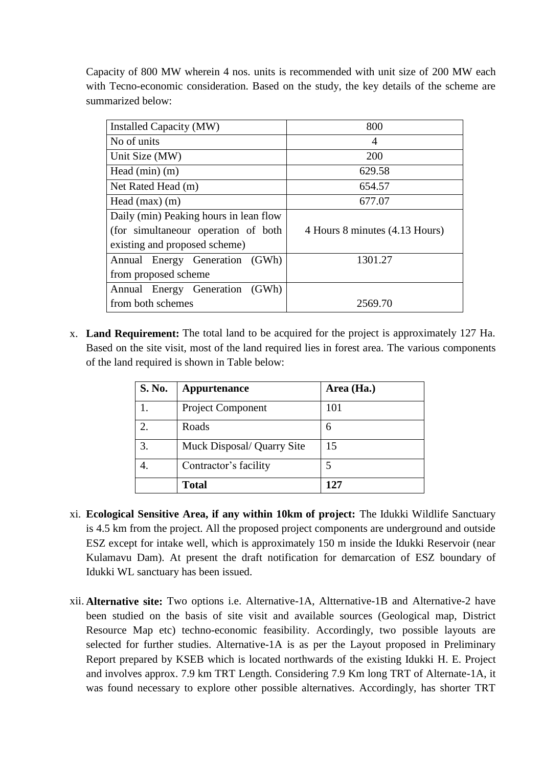Capacity of 800 MW wherein 4 nos. units is recommended with unit size of 200 MW each with Tecno-economic consideration. Based on the study, the key details of the scheme are summarized below:

| Installed Capacity (MW)                | 800                            |  |
|----------------------------------------|--------------------------------|--|
| No of units                            | 4                              |  |
| Unit Size (MW)                         | 200                            |  |
| Head $(min)$ $(m)$                     | 629.58                         |  |
| Net Rated Head (m)                     | 654.57                         |  |
| Head $(max)$ $(m)$                     | 677.07                         |  |
| Daily (min) Peaking hours in lean flow |                                |  |
| (for simultaneour operation of both    | 4 Hours 8 minutes (4.13 Hours) |  |
| existing and proposed scheme)          |                                |  |
| Annual Energy Generation (GWh)         | 1301.27                        |  |
| from proposed scheme                   |                                |  |
| Annual Energy Generation (GWh)         |                                |  |
| from both schemes                      | 2569.70                        |  |

x. **Land Requirement:** The total land to be acquired for the project is approximately 127 Ha. Based on the site visit, most of the land required lies in forest area. The various components of the land required is shown in Table below:

| S. No.         | Appurtenance               | Area (Ha.) |
|----------------|----------------------------|------------|
| 1.             | Project Component          | 101        |
| 2.             | Roads                      | 6          |
| $\mathfrak{Z}$ | Muck Disposal/ Quarry Site | 15         |
|                | Contractor's facility      |            |
|                | <b>Total</b>               | 127        |

- xi. **Ecological Sensitive Area, if any within 10km of project:** The Idukki Wildlife Sanctuary is 4.5 km from the project. All the proposed project components are underground and outside ESZ except for intake well, which is approximately 150 m inside the Idukki Reservoir (near Kulamavu Dam). At present the draft notification for demarcation of ESZ boundary of Idukki WL sanctuary has been issued.
- xii. **Alternative site:** Two options i.e. Alternative-1A, Altternative-1B and Alternative-2 have been studied on the basis of site visit and available sources (Geological map, District Resource Map etc) techno-economic feasibility. Accordingly, two possible layouts are selected for further studies. Alternative-1A is as per the Layout proposed in Preliminary Report prepared by KSEB which is located northwards of the existing Idukki H. E. Project and involves approx. 7.9 km TRT Length. Considering 7.9 Km long TRT of Alternate-1A, it was found necessary to explore other possible alternatives. Accordingly, has shorter TRT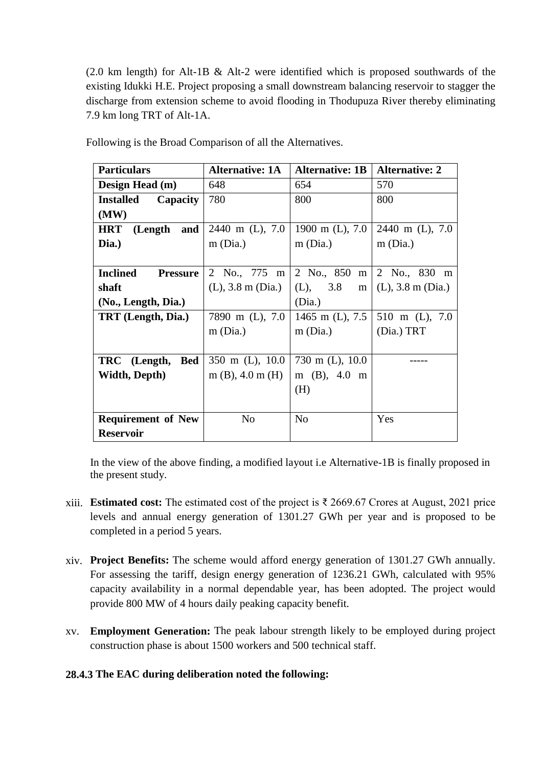(2.0 km length) for Alt-1B & Alt-2 were identified which is proposed southwards of the existing Idukki H.E. Project proposing a small downstream balancing reservoir to stagger the discharge from extension scheme to avoid flooding in Thodupuza River thereby eliminating 7.9 km long TRT of Alt-1A.

| <b>Particulars</b>                  | <b>Alternative: 1A</b> | <b>Alternative: 1B</b> | <b>Alternative: 2</b>  |
|-------------------------------------|------------------------|------------------------|------------------------|
| Design Head (m)                     | 648                    | 654                    | 570                    |
| <b>Installed</b><br><b>Capacity</b> | 780                    | 800                    | 800                    |
| (MW)                                |                        |                        |                        |
| <b>HRT</b><br>(Length and           | 2440 m (L), 7.0        | 1900 m $(L)$ , 7.0     | 2440 m (L), 7.0        |
| Dia.)                               | $m$ (Dia.)             | $m$ (Dia.)             | $m$ (Dia.)             |
|                                     |                        |                        |                        |
| <b>Inclined</b><br><b>Pressure</b>  | 2 No., 775 m           | 2 No., 850 m           | 2 No., 830 m           |
| shaft                               | $(L)$ , 3.8 m $(Dia.)$ | (L), 3.8               | m $(L)$ , 3.8 m (Dia.) |
| (No., Length, Dia.)                 |                        | (Dia.)                 |                        |
| TRT (Length, Dia.)                  | 7890 m (L), 7.0        | 1465 m (L), 7.5        | 510 m (L), 7.0         |
|                                     | $m$ (Dia.)             | $m$ (Dia.)             | (Dia.) TRT             |
|                                     |                        |                        |                        |
| Bed<br>TRC (Length,                 | 350 m (L), $10.0$      | 730 m (L), $10.0$      |                        |
| Width, Depth)                       | $m(B)$ , 4.0 $m(H)$    | m $(B)$ , 4.0 m        |                        |
|                                     |                        | (H)                    |                        |
|                                     |                        |                        |                        |
| <b>Requirement of New</b>           | N <sub>0</sub>         | N <sub>o</sub>         | Yes                    |
| <b>Reservoir</b>                    |                        |                        |                        |

Following is the Broad Comparison of all the Alternatives.

In the view of the above finding, a modified layout i.e Alternative-1B is finally proposed in the present study.

- xiii. **Estimated cost:** The estimated cost of the project is ₹ 2669.67 Crores at August, 2021 price levels and annual energy generation of 1301.27 GWh per year and is proposed to be completed in a period 5 years.
- xiv. **Project Benefits:** The scheme would afford energy generation of 1301.27 GWh annually. For assessing the tariff, design energy generation of 1236.21 GWh, calculated with 95% capacity availability in a normal dependable year, has been adopted. The project would provide 800 MW of 4 hours daily peaking capacity benefit.
- xv. **Employment Generation:** The peak labour strength likely to be employed during project construction phase is about 1500 workers and 500 technical staff.

# **28.4.3 The EAC during deliberation noted the following:**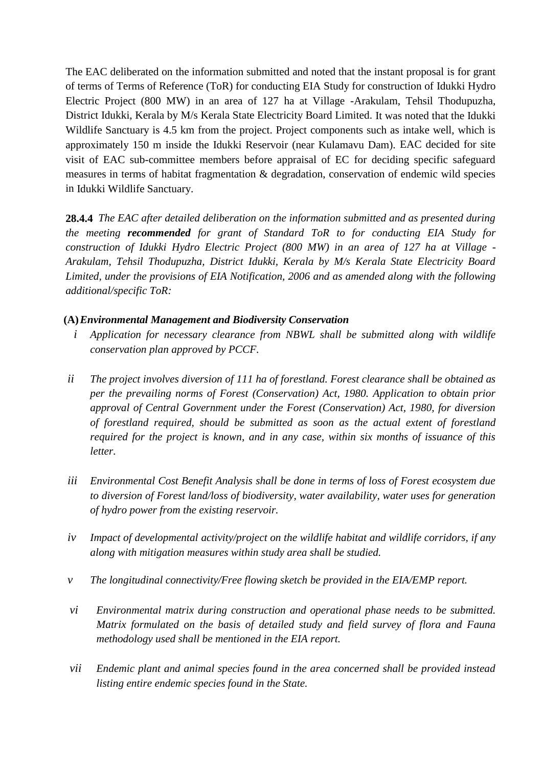The EAC deliberated on the information submitted and noted that the instant proposal is for grant of terms of Terms of Reference (ToR) for conducting EIA Study for construction of Idukki Hydro Electric Project (800 MW) in an area of 127 ha at Village -Arakulam, Tehsil Thodupuzha, District Idukki, Kerala by M/s Kerala State Electricity Board Limited. It was noted that the Idukki Wildlife Sanctuary is 4.5 km from the project. Project components such as intake well, which is approximately 150 m inside the Idukki Reservoir (near Kulamavu Dam). EAC decided for site visit of EAC sub-committee members before appraisal of EC for deciding specific safeguard measures in terms of habitat fragmentation & degradation, conservation of endemic wild species in Idukki Wildlife Sanctuary.

**28.4.4** *The EAC after detailed deliberation on the information submitted and as presented during the meeting recommended for grant of Standard ToR to for conducting EIA Study for construction of Idukki Hydro Electric Project (800 MW) in an area of 127 ha at Village - Arakulam, Tehsil Thodupuzha, District Idukki, Kerala by M/s Kerala State Electricity Board Limited, under the provisions of EIA Notification, 2006 and as amended along with the following additional/specific ToR:*

#### **(A)***Environmental Management and Biodiversity Conservation*

- *i Application for necessary clearance from NBWL shall be submitted along with wildlife conservation plan approved by PCCF.*
- *ii The project involves diversion of 111 ha of forestland. Forest clearance shall be obtained as per the prevailing norms of Forest (Conservation) Act, 1980. Application to obtain prior approval of Central Government under the Forest (Conservation) Act, 1980, for diversion of forestland required, should be submitted as soon as the actual extent of forestland required for the project is known, and in any case, within six months of issuance of this letter.*
- *iii Environmental Cost Benefit Analysis shall be done in terms of loss of Forest ecosystem due to diversion of Forest land/loss of biodiversity, water availability, water uses for generation of hydro power from the existing reservoir.*
- *iv Impact of developmental activity/project on the wildlife habitat and wildlife corridors, if any along with mitigation measures within study area shall be studied.*
- *v The longitudinal connectivity/Free flowing sketch be provided in the EIA/EMP report.*
- *vi Environmental matrix during construction and operational phase needs to be submitted. Matrix formulated on the basis of detailed study and field survey of flora and Fauna methodology used shall be mentioned in the EIA report.*
- *vii Endemic plant and animal species found in the area concerned shall be provided instead listing entire endemic species found in the State.*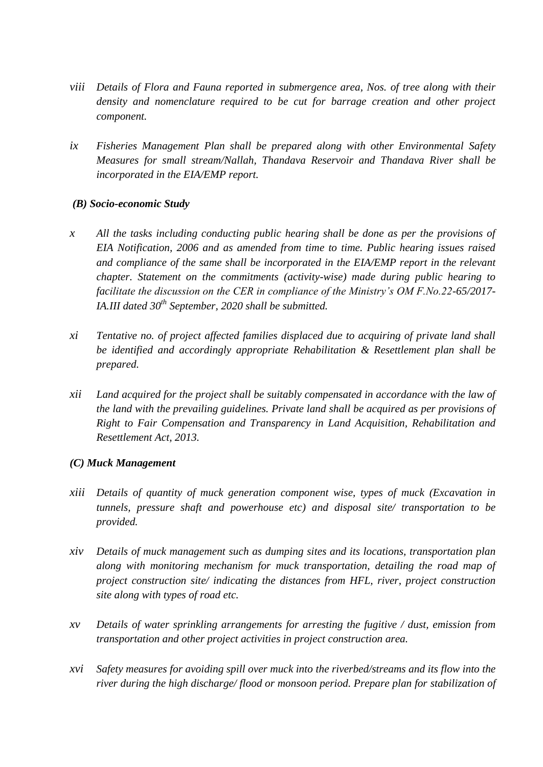- *viii Details of Flora and Fauna reported in submergence area, Nos. of tree along with their density and nomenclature required to be cut for barrage creation and other project component.*
- *ix Fisheries Management Plan shall be prepared along with other Environmental Safety Measures for small stream/Nallah, Thandava Reservoir and Thandava River shall be incorporated in the EIA/EMP report.*

#### *(B) Socio-economic Study*

- *x All the tasks including conducting public hearing shall be done as per the provisions of EIA Notification, 2006 and as amended from time to time. Public hearing issues raised and compliance of the same shall be incorporated in the EIA/EMP report in the relevant chapter. Statement on the commitments (activity-wise) made during public hearing to facilitate the discussion on the CER in compliance of the Ministry's OM F.No.22-65/2017- IA.III dated 30th September, 2020 shall be submitted.*
- *xi Tentative no. of project affected families displaced due to acquiring of private land shall be identified and accordingly appropriate Rehabilitation & Resettlement plan shall be prepared.*
- *xii Land acquired for the project shall be suitably compensated in accordance with the law of the land with the prevailing guidelines. Private land shall be acquired as per provisions of Right to Fair Compensation and Transparency in Land Acquisition, Rehabilitation and Resettlement Act, 2013.*

#### *(C) Muck Management*

- *xiii Details of quantity of muck generation component wise, types of muck (Excavation in tunnels, pressure shaft and powerhouse etc) and disposal site/ transportation to be provided.*
- *xiv Details of muck management such as dumping sites and its locations, transportation plan along with monitoring mechanism for muck transportation, detailing the road map of project construction site/ indicating the distances from HFL, river, project construction site along with types of road etc.*
- *xv Details of water sprinkling arrangements for arresting the fugitive / dust, emission from transportation and other project activities in project construction area.*
- *xvi Safety measures for avoiding spill over muck into the riverbed/streams and its flow into the river during the high discharge/ flood or monsoon period. Prepare plan for stabilization of*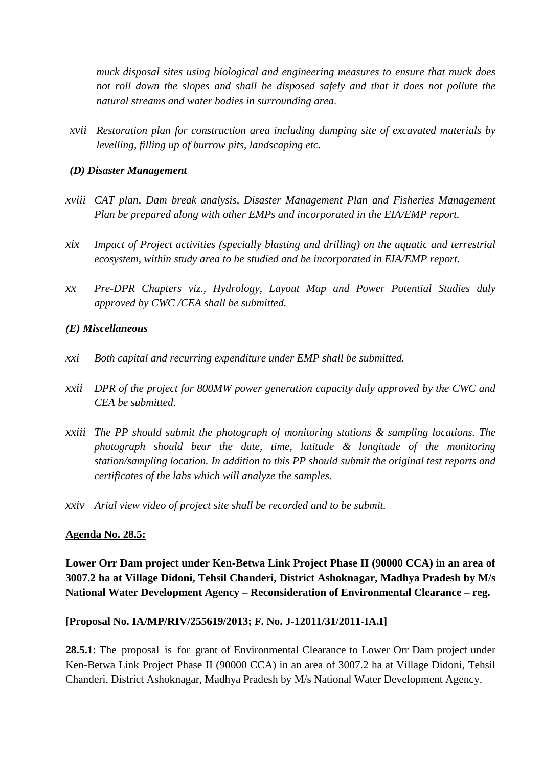*muck disposal sites using biological and engineering measures to ensure that muck does not roll down the slopes and shall be disposed safely and that it does not pollute the natural streams and water bodies in surrounding area.*

*xvii Restoration plan for construction area including dumping site of excavated materials by levelling, filling up of burrow pits, landscaping etc.*

#### *(D) Disaster Management*

- *xviii CAT plan, Dam break analysis, Disaster Management Plan and Fisheries Management Plan be prepared along with other EMPs and incorporated in the EIA/EMP report.*
- *xix Impact of Project activities (specially blasting and drilling) on the aquatic and terrestrial ecosystem, within study area to be studied and be incorporated in EIA/EMP report.*
- *xx Pre-DPR Chapters viz., Hydrology, Layout Map and Power Potential Studies duly approved by CWC /CEA shall be submitted.*

#### *(E) Miscellaneous*

- *xxi Both capital and recurring expenditure under EMP shall be submitted.*
- *xxii DPR of the project for 800MW power generation capacity duly approved by the CWC and CEA be submitted.*
- *xxiii The PP should submit the photograph of monitoring stations & sampling locations. The photograph should bear the date, time, latitude & longitude of the monitoring station/sampling location. In addition to this PP should submit the original test reports and certificates of the labs which will analyze the samples.*
- *xxiv Arial view video of project site shall be recorded and to be submit.*

#### **Agenda No. 28.5:**

**Lower Orr Dam project under Ken-Betwa Link Project Phase II (90000 CCA) in an area of 3007.2 ha at Village Didoni, Tehsil Chanderi, District Ashoknagar, Madhya Pradesh by M/s National Water Development Agency – Reconsideration of Environmental Clearance – reg.**

#### **[Proposal No. IA/MP/RIV/255619/2013; F. No. J-12011/31/2011-IA.I]**

**28.5.1**: The proposal is for grant of Environmental Clearance to Lower Orr Dam project under Ken-Betwa Link Project Phase II (90000 CCA) in an area of 3007.2 ha at Village Didoni, Tehsil Chanderi, District Ashoknagar, Madhya Pradesh by M/s National Water Development Agency.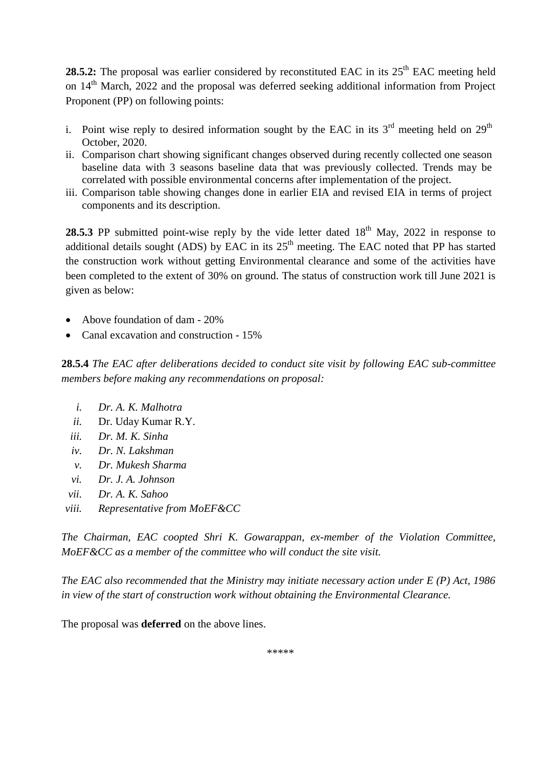**28.5.2:** The proposal was earlier considered by reconstituted EAC in its 25<sup>th</sup> EAC meeting held on 14<sup>th</sup> March, 2022 and the proposal was deferred seeking additional information from Project Proponent (PP) on following points:

- i. Point wise reply to desired information sought by the EAC in its  $3<sup>rd</sup>$  meeting held on  $29<sup>th</sup>$ October, 2020.
- ii. Comparison chart showing significant changes observed during recently collected one season baseline data with 3 seasons baseline data that was previously collected. Trends may be correlated with possible environmental concerns after implementation of the project.
- iii. Comparison table showing changes done in earlier EIA and revised EIA in terms of project components and its description.

**28.5.3** PP submitted point-wise reply by the vide letter dated  $18<sup>th</sup>$  May, 2022 in response to additional details sought (ADS) by EAC in its  $25<sup>th</sup>$  meeting. The EAC noted that PP has started the construction work without getting Environmental clearance and some of the activities have been completed to the extent of 30% on ground. The status of construction work till June 2021 is given as below:

- Above foundation of dam 20%
- Canal excavation and construction 15%

**28.5.4** *The EAC after deliberations decided to conduct site visit by following EAC sub-committee members before making any recommendations on proposal:*

- *i. Dr. A. K. Malhotra*
- *ii.* Dr. Uday Kumar R.Y.
- *iii. Dr. M. K. Sinha*
- *iv. Dr. N. Lakshman*
- *v. Dr. Mukesh Sharma*
- *vi. Dr. J. A. Johnson*
- *vii. Dr. A. K. Sahoo*
- *viii. Representative from MoEF&CC*

*The Chairman, EAC coopted Shri K. Gowarappan, ex-member of the Violation Committee, MoEF&CC as a member of the committee who will conduct the site visit.*

*The EAC also recommended that the Ministry may initiate necessary action under E (P) Act, 1986 in view of the start of construction work without obtaining the Environmental Clearance.* 

The proposal was **deferred** on the above lines.

\*\*\*\*\*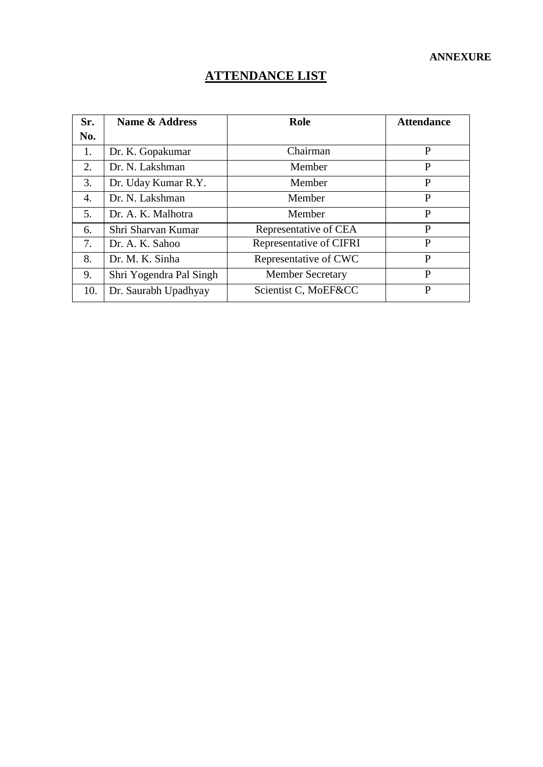#### **ANNEXURE**

# **ATTENDANCE LIST**

| Sr. | Name & Address          | Role                    | <b>Attendance</b> |
|-----|-------------------------|-------------------------|-------------------|
| No. |                         |                         |                   |
| 1.  | Dr. K. Gopakumar        | Chairman                | P                 |
| 2.  | Dr. N. Lakshman         | Member                  | P                 |
| 3.  | Dr. Uday Kumar R.Y.     | Member                  | P                 |
| 4.  | Dr. N. Lakshman         | Member                  | P                 |
| 5.  | Dr. A. K. Malhotra      | Member                  | P                 |
| 6.  | Shri Sharvan Kumar      | Representative of CEA   | P                 |
| 7.  | Dr. A. K. Sahoo         | Representative of CIFRI | P                 |
| 8.  | Dr. M. K. Sinha         | Representative of CWC   | P                 |
| 9.  | Shri Yogendra Pal Singh | <b>Member Secretary</b> | P                 |
| 10. | Dr. Saurabh Upadhyay    | Scientist C, MoEF&CC    | P                 |